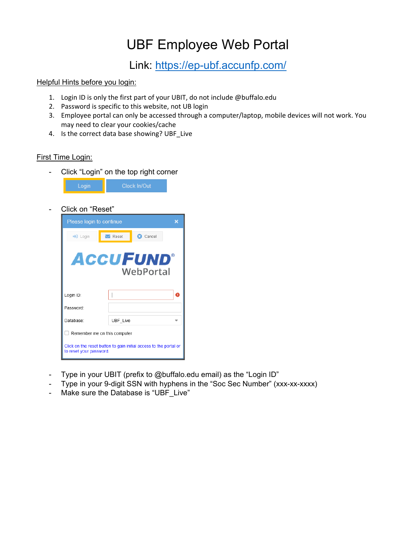# UBF Employee Web Portal

Link: <u>https://ep-ubf.accunfp.com/</u><br>Helpful Hints before you login:

- 1. Login ID is only the first part of your UBIT, do not include @buffalo.edu
- 2. Password is specific to this website, not UB login
- 3. Employee portal can only be accessed through a computer/laptop, mobile devices will not work. You may need to clear your cookies/cache
- 4. Is the correct data base showing? UBF Live

## First Time Login:

- Click "Login" on the top right corner

|  | Clock In/Out |
|--|--------------|
|--|--------------|

- Click on "Reset"

| Please login to continue                                                                     |                      |                 |   |  |  |
|----------------------------------------------------------------------------------------------|----------------------|-----------------|---|--|--|
| $\rightarrow$ Login                                                                          | $\blacksquare$ Reset | <b>C</b> Cancel |   |  |  |
| <b>ACCUFUND</b><br>WebPortal                                                                 |                      |                 |   |  |  |
| Login ID:                                                                                    |                      |                 | O |  |  |
| Password:                                                                                    |                      |                 |   |  |  |
| Database:                                                                                    | UBF Live             |                 |   |  |  |
| Remember me on this computer                                                                 |                      |                 |   |  |  |
| Click on the reset button to gain initial access to the portal or<br>to reset your password. |                      |                 |   |  |  |

- Type in your UBIT (prefix to @buffalo.edu email) as the "Login ID"
- Type in your 9-digit SSN with hyphens in the "Soc Sec Number" (xxx-xx-xxxx)
- Make sure the Database is "UBF\_Live"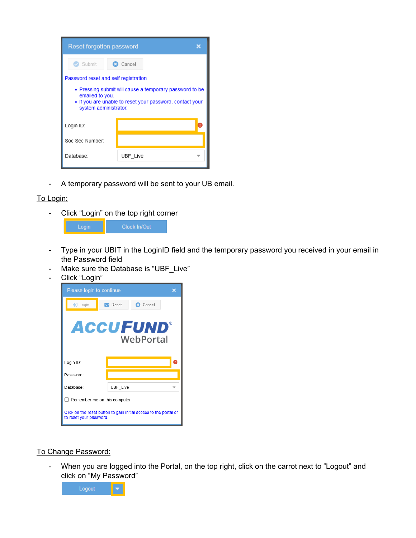| <b>Reset forgotten password</b>                                                                                                                                 |          |  |  |
|-----------------------------------------------------------------------------------------------------------------------------------------------------------------|----------|--|--|
| Submit                                                                                                                                                          | Cancel   |  |  |
| Password reset and self registration                                                                                                                            |          |  |  |
| • Pressing submit will cause a temporary password to be<br>emailed to you.<br>• If you are unable to reset your password, contact your<br>system administrator. |          |  |  |
| Login ID:                                                                                                                                                       |          |  |  |
| Soc Sec Number:                                                                                                                                                 |          |  |  |
| Database:                                                                                                                                                       | UBF Live |  |  |

- A temporary password will be sent to your UB email.

## To Login:

- Click "Login" on the top right corner

| Login | Clock In/Out |
|-------|--------------|
|       |              |

- Type in your UBIT in the LoginID field and the temporary password you received in your email in the Password field
- Make sure the Database is "UBF\_Live"
- Click "Login"



#### To Change Password:

- When you are logged into the Portal, on the top right, click on the carrot next to "Logout" and click on "My Password"